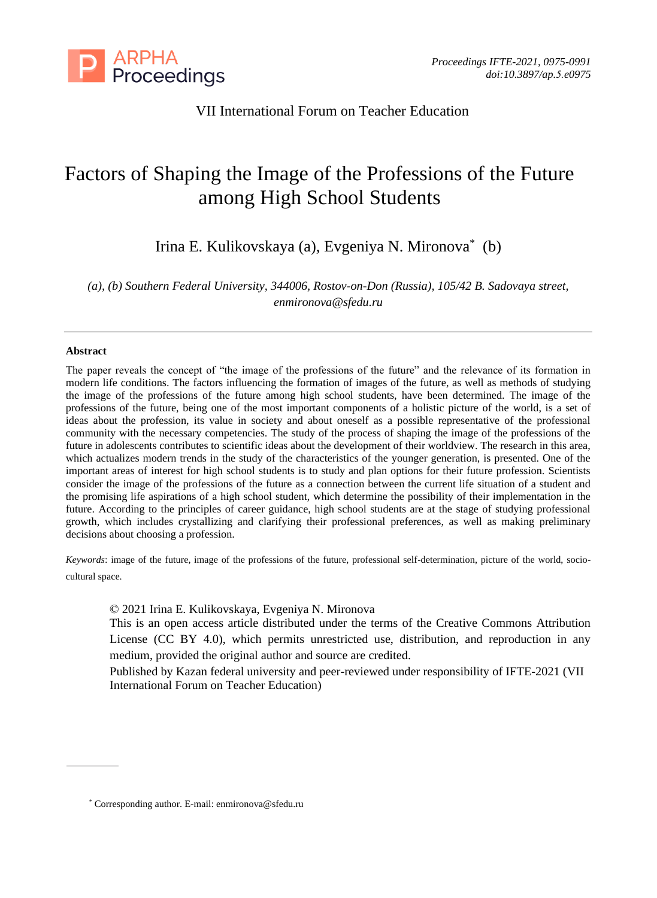

# VII International Forum on Teacher Education

# Factors of Shaping the Image of the Professions of the Future among High School Students

Irina E. Kulikovskaya (a), Evgeniya N. Mironova\* (b)

*(a), (b) Southern Federal University, 344006, Rostov-on-Don (Russia), 105/42 B. Sadovaya street, enmironova@sfedu.ru*

#### **Abstract**

The paper reveals the concept of "the image of the professions of the future" and the relevance of its formation in modern life conditions. The factors influencing the formation of images of the future, as well as methods of studying the image of the professions of the future among high school students, have been determined. The image of the professions of the future, being one of the most important components of a holistic picture of the world, is a set of ideas about the profession, its value in society and about oneself as a possible representative of the professional community with the necessary competencies. The study of the process of shaping the image of the professions of the future in adolescents contributes to scientific ideas about the development of their worldview. The research in this area, which actualizes modern trends in the study of the characteristics of the younger generation, is presented. One of the important areas of interest for high school students is to study and plan options for their future profession. Scientists consider the image of the professions of the future as a connection between the current life situation of a student and the promising life aspirations of a high school student, which determine the possibility of their implementation in the future. According to the principles of career guidance, high school students are at the stage of studying professional growth, which includes crystallizing and clarifying their professional preferences, as well as making preliminary decisions about choosing a profession.

*Keywords*: image of the future, image of the professions of the future, professional self-determination, picture of the world, sociocultural space.

© 2021 Irina E. Kulikovskaya, Evgeniya N. Mironova

This is an open access article distributed under the terms of the Creative Commons Attribution License (CC BY 4.0), which permits unrestricted use, distribution, and reproduction in any medium, provided the original author and source are credited.

Published by Kazan federal university and peer-reviewed under responsibility of IFTE-2021 (VII International Forum on Teacher Education)

<sup>\*</sup> Corresponding author. E-mail: enmironova@sfedu.ru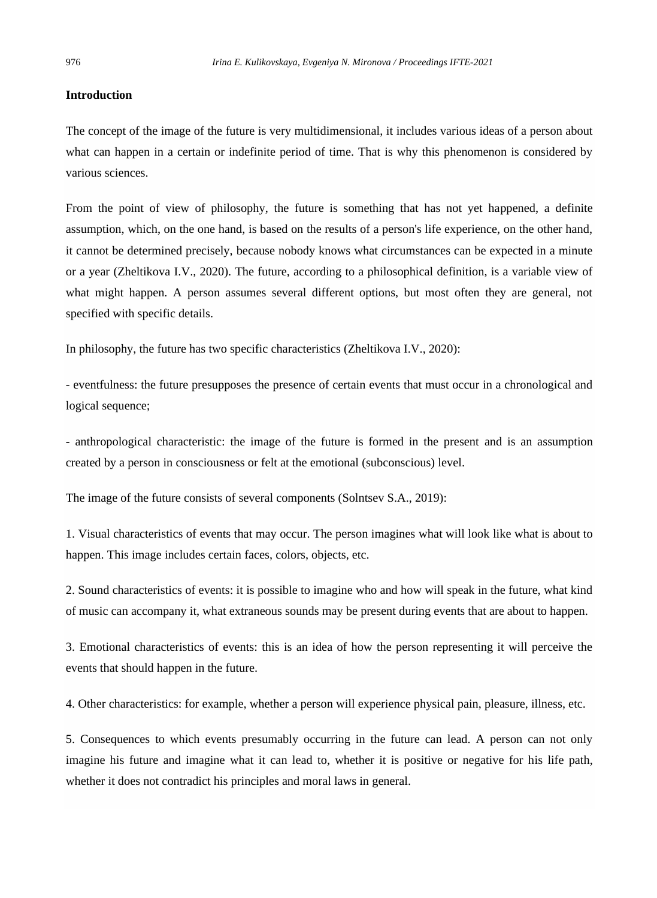#### **Introduction**

The concept of the image of the future is very multidimensional, it includes various ideas of a person about what can happen in a certain or indefinite period of time. That is why this phenomenon is considered by various sciences.

From the point of view of philosophy, the future is something that has not yet happened, a definite assumption, which, on the one hand, is based on the results of a person's life experience, on the other hand, it cannot be determined precisely, because nobody knows what circumstances can be expected in a minute or a year (Zheltikova I.V., 2020). The future, according to a philosophical definition, is a variable view of what might happen. A person assumes several different options, but most often they are general, not specified with specific details.

In philosophy, the future has two specific characteristics (Zheltikova I.V., 2020):

- eventfulness: the future presupposes the presence of certain events that must occur in a chronological and logical sequence;

- anthropological characteristic: the image of the future is formed in the present and is an assumption created by a person in consciousness or felt at the emotional (subconscious) level.

The image of the future consists of several components (Solntsev S.A., 2019):

1. Visual characteristics of events that may occur. The person imagines what will look like what is about to happen. This image includes certain faces, colors, objects, etc.

2. Sound characteristics of events: it is possible to imagine who and how will speak in the future, what kind of music can accompany it, what extraneous sounds may be present during events that are about to happen.

3. Emotional characteristics of events: this is an idea of how the person representing it will perceive the events that should happen in the future.

4. Other characteristics: for example, whether a person will experience physical pain, pleasure, illness, etc.

5. Consequences to which events presumably occurring in the future can lead. A person can not only imagine his future and imagine what it can lead to, whether it is positive or negative for his life path, whether it does not contradict his principles and moral laws in general.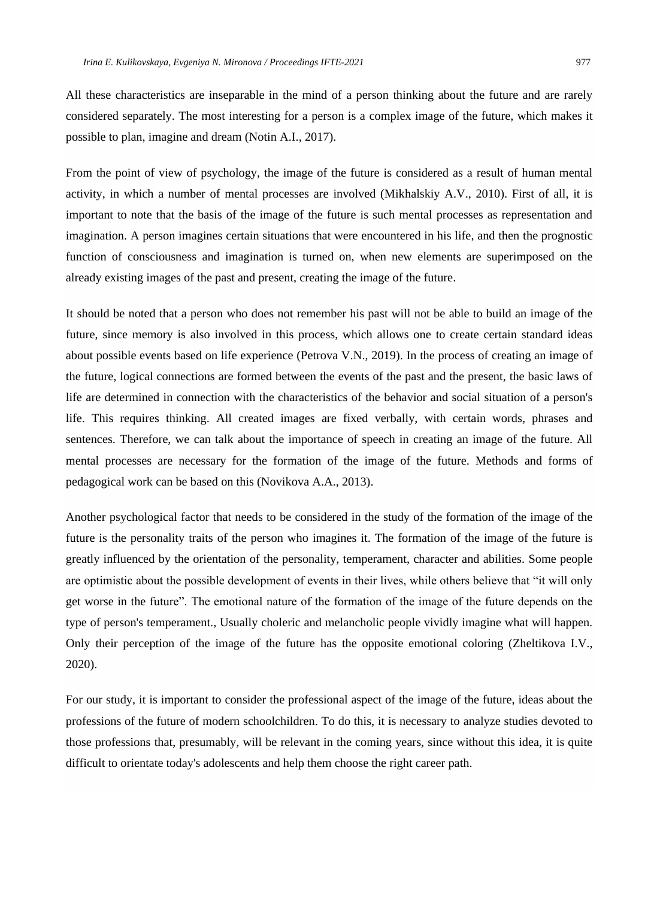All these characteristics are inseparable in the mind of a person thinking about the future and are rarely considered separately. The most interesting for a person is a complex image of the future, which makes it possible to plan, imagine and dream (Notin A.I., 2017).

From the point of view of psychology, the image of the future is considered as a result of human mental activity, in which a number of mental processes are involved (Mikhalskiy A.V., 2010). First of all, it is important to note that the basis of the image of the future is such mental processes as representation and imagination. A person imagines certain situations that were encountered in his life, and then the prognostic function of consciousness and imagination is turned on, when new elements are superimposed on the already existing images of the past and present, creating the image of the future.

It should be noted that a person who does not remember his past will not be able to build an image of the future, since memory is also involved in this process, which allows one to create certain standard ideas about possible events based on life experience (Petrova V.N., 2019). In the process of creating an image of the future, logical connections are formed between the events of the past and the present, the basic laws of life are determined in connection with the characteristics of the behavior and social situation of a person's life. This requires thinking. All created images are fixed verbally, with certain words, phrases and sentences. Therefore, we can talk about the importance of speech in creating an image of the future. All mental processes are necessary for the formation of the image of the future. Methods and forms of pedagogical work can be based on this (Novikova A.A., 2013).

Another psychological factor that needs to be considered in the study of the formation of the image of the future is the personality traits of the person who imagines it. The formation of the image of the future is greatly influenced by the orientation of the personality, temperament, character and abilities. Some people are optimistic about the possible development of events in their lives, while others believe that "it will only get worse in the future". The emotional nature of the formation of the image of the future depends on the type of person's temperament., Usually choleric and melancholic people vividly imagine what will happen. Only their perception of the image of the future has the opposite emotional coloring (Zheltikova I.V., 2020).

For our study, it is important to consider the professional aspect of the image of the future, ideas about the professions of the future of modern schoolchildren. To do this, it is necessary to analyze studies devoted to those professions that, presumably, will be relevant in the coming years, since without this idea, it is quite difficult to orientate today's adolescents and help them choose the right career path.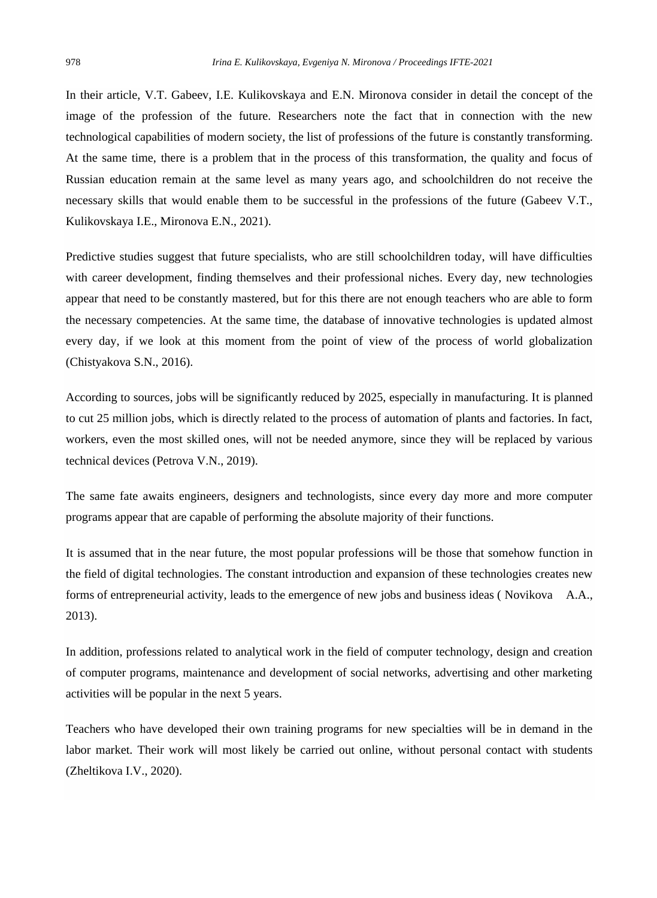In their article, V.T. Gabeev, I.E. Kulikovskaya and E.N. Mironova consider in detail the concept of the image of the profession of the future. Researchers note the fact that in connection with the new technological capabilities of modern society, the list of professions of the future is constantly transforming. At the same time, there is a problem that in the process of this transformation, the quality and focus of Russian education remain at the same level as many years ago, and schoolchildren do not receive the necessary skills that would enable them to be successful in the professions of the future (Gabeev V.T., Kulikovskaya I.E., Mironova E.N., 2021).

Predictive studies suggest that future specialists, who are still schoolchildren today, will have difficulties with career development, finding themselves and their professional niches. Every day, new technologies appear that need to be constantly mastered, but for this there are not enough teachers who are able to form the necessary competencies. At the same time, the database of innovative technologies is updated almost every day, if we look at this moment from the point of view of the process of world globalization (Chistyakova S.N., 2016).

According to sources, jobs will be significantly reduced by 2025, especially in manufacturing. It is planned to cut 25 million jobs, which is directly related to the process of automation of plants and factories. In fact, workers, even the most skilled ones, will not be needed anymore, since they will be replaced by various technical devices (Petrova V.N., 2019).

The same fate awaits engineers, designers and technologists, since every day more and more computer programs appear that are capable of performing the absolute majority of their functions.

It is assumed that in the near future, the most popular professions will be those that somehow function in the field of digital technologies. The constant introduction and expansion of these technologies creates new forms of entrepreneurial activity, leads to the emergence of new jobs and business ideas ( Novikova A.A., 2013).

In addition, professions related to analytical work in the field of computer technology, design and creation of computer programs, maintenance and development of social networks, advertising and other marketing activities will be popular in the next 5 years.

Teachers who have developed their own training programs for new specialties will be in demand in the labor market. Their work will most likely be carried out online, without personal contact with students (Zheltikova I.V., 2020).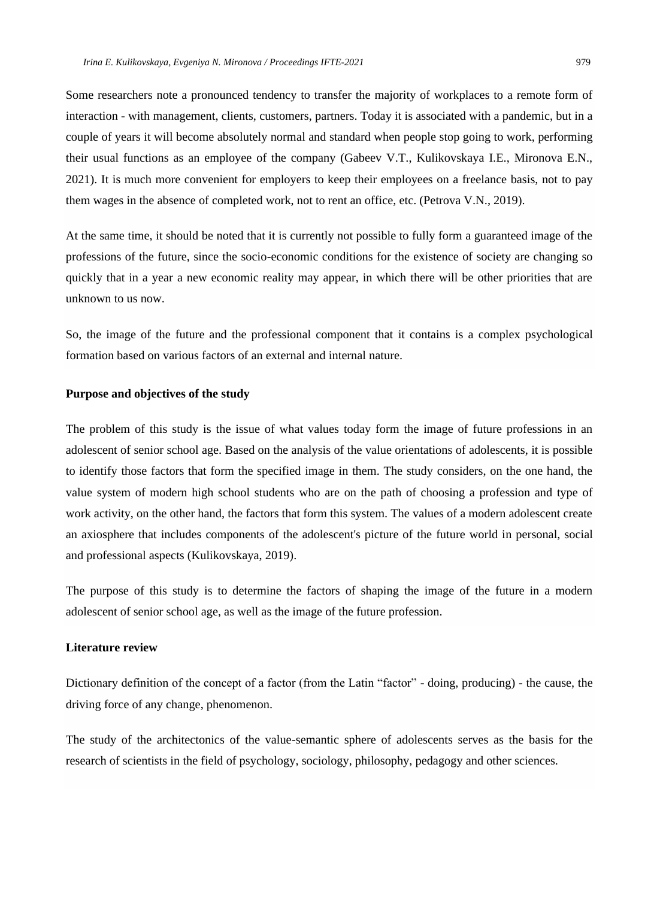Some researchers note a pronounced tendency to transfer the majority of workplaces to a remote form of interaction - with management, clients, customers, partners. Today it is associated with a pandemic, but in a couple of years it will become absolutely normal and standard when people stop going to work, performing their usual functions as an employee of the company (Gabeev V.T., Kulikovskaya I.E., Mironova E.N., 2021). It is much more convenient for employers to keep their employees on a freelance basis, not to pay them wages in the absence of completed work, not to rent an office, etc. (Petrova V.N., 2019).

At the same time, it should be noted that it is currently not possible to fully form a guaranteed image of the professions of the future, since the socio-economic conditions for the existence of society are changing so quickly that in a year a new economic reality may appear, in which there will be other priorities that are unknown to us now.

So, the image of the future and the professional component that it contains is a complex psychological formation based on various factors of an external and internal nature.

#### **Purpose and objectives of the study**

The problem of this study is the issue of what values today form the image of future professions in an adolescent of senior school age. Based on the analysis of the value orientations of adolescents, it is possible to identify those factors that form the specified image in them. The study considers, on the one hand, the value system of modern high school students who are on the path of choosing a profession and type of work activity, on the other hand, the factors that form this system. The values of a modern adolescent create an axiosphere that includes components of the adolescent's picture of the future world in personal, social and professional aspects (Kulikovskaya, 2019).

The purpose of this study is to determine the factors of shaping the image of the future in a modern adolescent of senior school age, as well as the image of the future profession.

# **Literature review**

Dictionary definition of the concept of a factor (from the Latin "factor" - doing, producing) - the cause, the driving force of any change, phenomenon.

The study of the architectonics of the value-semantic sphere of adolescents serves as the basis for the research of scientists in the field of psychology, sociology, philosophy, pedagogy and other sciences.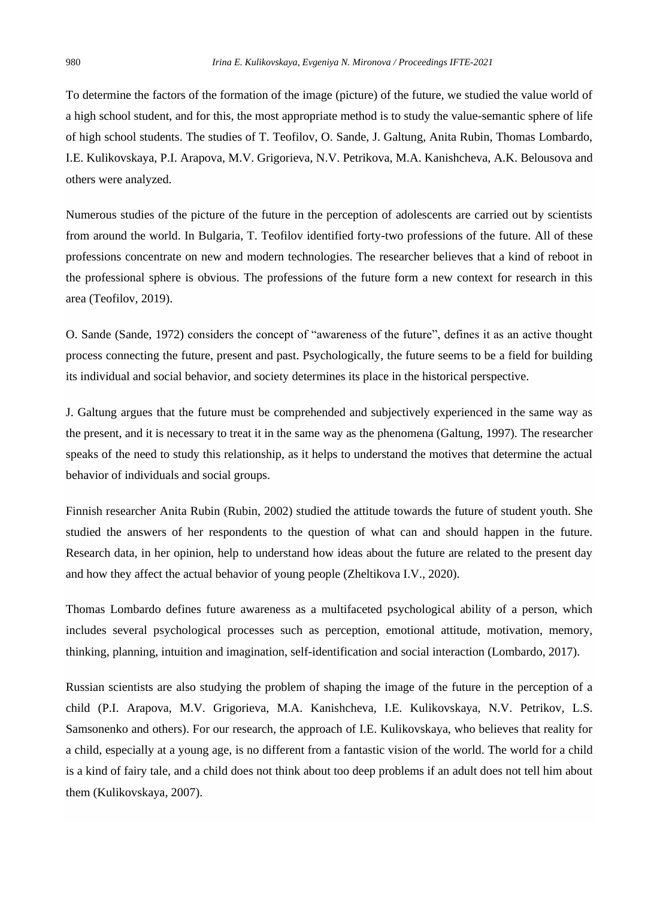To determine the factors of the formation of the image (picture) of the future, we studied the value world of a high school student, and for this, the most appropriate method is to study the value-semantic sphere of life of high school students. The studies of T. Teofilov, O. Sande, J. Galtung, Anita Rubin, Thomas Lombardo, I.E. Kulikovskaya, P.I. Arapova, M.V. Grigorieva, N.V. Petrikova, M.A. Kanishcheva, A.K. Belousova and others were analyzed.

Numerous studies of the picture of the future in the perception of adolescents are carried out by scientists from around the world. In Bulgaria, T. Teofilov identified forty-two professions of the future. All of these professions concentrate on new and modern technologies. The researcher believes that a kind of reboot in the professional sphere is obvious. The professions of the future form a new context for research in this area (Teofilov, 2019).

O. Sande (Sande, 1972) considers the concept of "awareness of the future", defines it as an active thought process connecting the future, present and past. Psychologically, the future seems to be a field for building its individual and social behavior, and society determines its place in the historical perspective.

J. Galtung argues that the future must be comprehended and subjectively experienced in the same way as the present, and it is necessary to treat it in the same way as the phenomena (Galtung, 1997). The researcher speaks of the need to study this relationship, as it helps to understand the motives that determine the actual behavior of individuals and social groups.

Finnish researcher Anita Rubin (Rubin, 2002) studied the attitude towards the future of student youth. She studied the answers of her respondents to the question of what can and should happen in the future. Research data, in her opinion, help to understand how ideas about the future are related to the present day and how they affect the actual behavior of young people (Zheltikova I.V., 2020).

Thomas Lombardo defines future awareness as a multifaceted psychological ability of a person, which includes several psychological processes such as perception, emotional attitude, motivation, memory, thinking, planning, intuition and imagination, self-identification and social interaction (Lombardo, 2017).

Russian scientists are also studying the problem of shaping the image of the future in the perception of a child (P.I. Arapova, M.V. Grigorieva, M.A. Kanishcheva, I.E. Kulikovskaya, N.V. Petrikov, L.S. Samsonenko and others). For our research, the approach of I.E. Kulikovskaya, who believes that reality for a child, especially at a young age, is no different from a fantastic vision of the world. The world for a child is a kind of fairy tale, and a child does not think about too deep problems if an adult does not tell him about them (Kulikovskaya, 2007).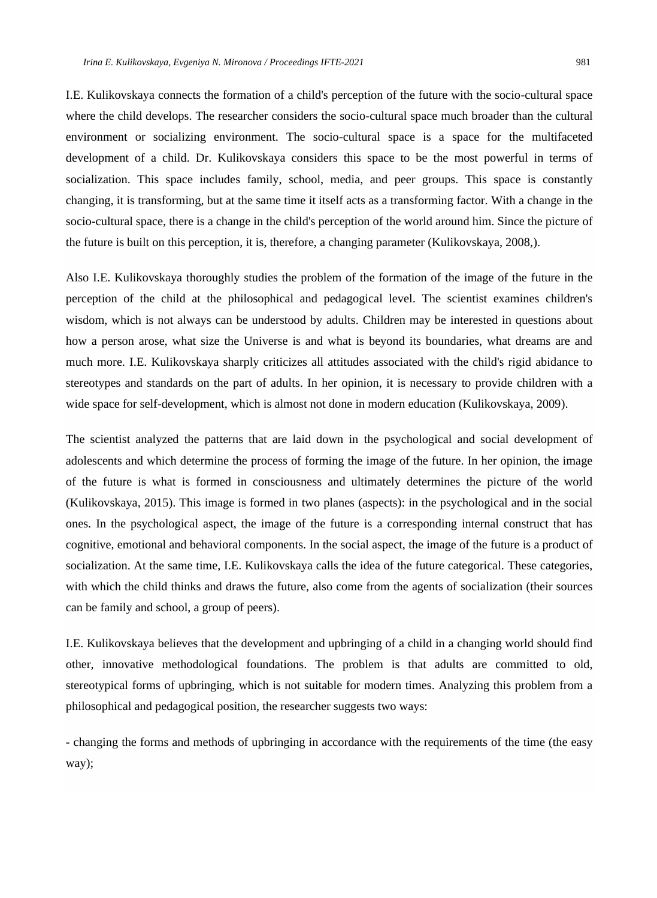I.E. Kulikovskaya connects the formation of a child's perception of the future with the socio-cultural space where the child develops. The researcher considers the socio-cultural space much broader than the cultural environment or socializing environment. The socio-cultural space is a space for the multifaceted development of a child. Dr. Kulikovskaya considers this space to be the most powerful in terms of socialization. This space includes family, school, media, and peer groups. This space is constantly changing, it is transforming, but at the same time it itself acts as a transforming factor. With a change in the socio-cultural space, there is a change in the child's perception of the world around him. Since the picture of the future is built on this perception, it is, therefore, a changing parameter (Kulikovskaya, 2008,).

Also I.E. Kulikovskaya thoroughly studies the problem of the formation of the image of the future in the perception of the child at the philosophical and pedagogical level. The scientist examines children's wisdom, which is not always can be understood by adults. Children may be interested in questions about how a person arose, what size the Universe is and what is beyond its boundaries, what dreams are and much more. I.E. Kulikovskaya sharply criticizes all attitudes associated with the child's rigid abidance to stereotypes and standards on the part of adults. In her opinion, it is necessary to provide children with a wide space for self-development, which is almost not done in modern education (Kulikovskaya, 2009).

The scientist analyzed the patterns that are laid down in the psychological and social development of adolescents and which determine the process of forming the image of the future. In her opinion, the image of the future is what is formed in consciousness and ultimately determines the picture of the world (Kulikovskaya, 2015). This image is formed in two planes (aspects): in the psychological and in the social ones. In the psychological aspect, the image of the future is a corresponding internal construct that has cognitive, emotional and behavioral components. In the social aspect, the image of the future is a product of socialization. At the same time, I.E. Kulikovskaya calls the idea of the future categorical. These categories, with which the child thinks and draws the future, also come from the agents of socialization (their sources can be family and school, a group of peers).

I.E. Kulikovskaya believes that the development and upbringing of a child in a changing world should find other, innovative methodological foundations. The problem is that adults are committed to old, stereotypical forms of upbringing, which is not suitable for modern times. Analyzing this problem from a philosophical and pedagogical position, the researcher suggests two ways:

- changing the forms and methods of upbringing in accordance with the requirements of the time (the easy way);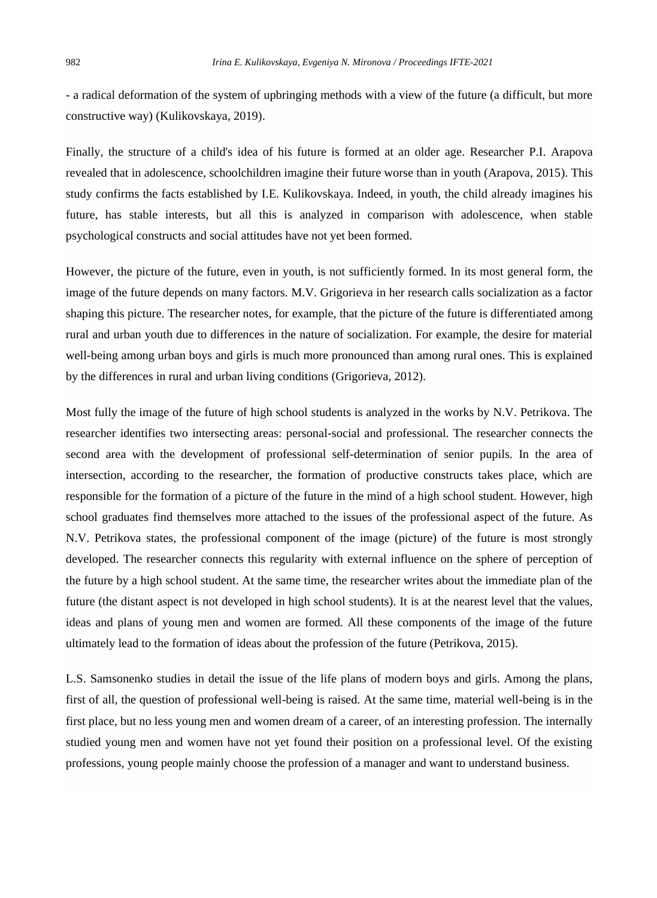- a radical deformation of the system of upbringing methods with a view of the future (a difficult, but more constructive way) (Kulikovskaya, 2019).

Finally, the structure of a child's idea of his future is formed at an older age. Researcher P.I. Arapova revealed that in adolescence, schoolchildren imagine their future worse than in youth (Arapova, 2015). This study confirms the facts established by I.E. Kulikovskaya. Indeed, in youth, the child already imagines his future, has stable interests, but all this is analyzed in comparison with adolescence, when stable psychological constructs and social attitudes have not yet been formed.

However, the picture of the future, even in youth, is not sufficiently formed. In its most general form, the image of the future depends on many factors. M.V. Grigorieva in her research calls socialization as a factor shaping this picture. The researcher notes, for example, that the picture of the future is differentiated among rural and urban youth due to differences in the nature of socialization. For example, the desire for material well-being among urban boys and girls is much more pronounced than among rural ones. This is explained by the differences in rural and urban living conditions (Grigorieva, 2012).

Most fully the image of the future of high school students is analyzed in the works by N.V. Petrikova. The researcher identifies two intersecting areas: personal-social and professional. The researcher connects the second area with the development of professional self-determination of senior pupils. In the area of intersection, according to the researcher, the formation of productive constructs takes place, which are responsible for the formation of a picture of the future in the mind of a high school student. However, high school graduates find themselves more attached to the issues of the professional aspect of the future. As N.V. Petrikova states, the professional component of the image (picture) of the future is most strongly developed. The researcher connects this regularity with external influence on the sphere of perception of the future by a high school student. At the same time, the researcher writes about the immediate plan of the future (the distant aspect is not developed in high school students). It is at the nearest level that the values, ideas and plans of young men and women are formed. All these components of the image of the future ultimately lead to the formation of ideas about the profession of the future (Petrikova, 2015).

L.S. Samsonenko studies in detail the issue of the life plans of modern boys and girls. Among the plans, first of all, the question of professional well-being is raised. At the same time, material well-being is in the first place, but no less young men and women dream of a career, of an interesting profession. The internally studied young men and women have not yet found their position on a professional level. Of the existing professions, young people mainly choose the profession of a manager and want to understand business.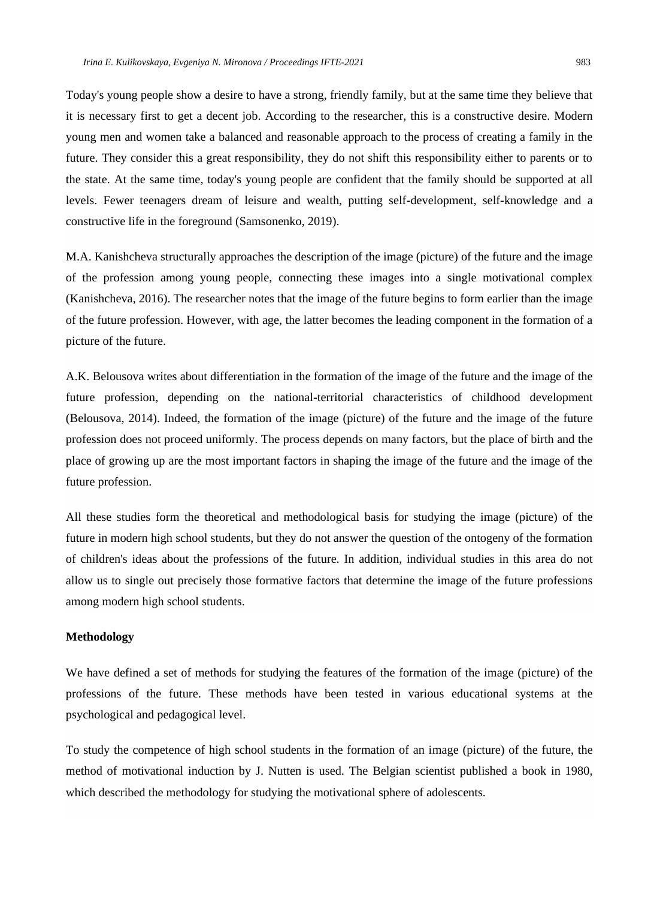Today's young people show a desire to have a strong, friendly family, but at the same time they believe that it is necessary first to get a decent job. According to the researcher, this is a constructive desire. Modern young men and women take a balanced and reasonable approach to the process of creating a family in the future. They consider this a great responsibility, they do not shift this responsibility either to parents or to the state. At the same time, today's young people are confident that the family should be supported at all levels. Fewer teenagers dream of leisure and wealth, putting self-development, self-knowledge and a constructive life in the foreground (Samsonenko, 2019).

M.A. Kanishcheva structurally approaches the description of the image (picture) of the future and the image of the profession among young people, connecting these images into a single motivational complex (Kanishcheva, 2016). The researcher notes that the image of the future begins to form earlier than the image of the future profession. However, with age, the latter becomes the leading component in the formation of a picture of the future.

A.K. Belousova writes about differentiation in the formation of the image of the future and the image of the future profession, depending on the national-territorial characteristics of childhood development (Belousova, 2014). Indeed, the formation of the image (picture) of the future and the image of the future profession does not proceed uniformly. The process depends on many factors, but the place of birth and the place of growing up are the most important factors in shaping the image of the future and the image of the future profession.

All these studies form the theoretical and methodological basis for studying the image (picture) of the future in modern high school students, but they do not answer the question of the ontogeny of the formation of children's ideas about the professions of the future. In addition, individual studies in this area do not allow us to single out precisely those formative factors that determine the image of the future professions among modern high school students.

#### **Methodology**

We have defined a set of methods for studying the features of the formation of the image (picture) of the professions of the future. These methods have been tested in various educational systems at the psychological and pedagogical level.

To study the competence of high school students in the formation of an image (picture) of the future, the method of motivational induction by J. Nutten is used. The Belgian scientist published a book in 1980, which described the methodology for studying the motivational sphere of adolescents.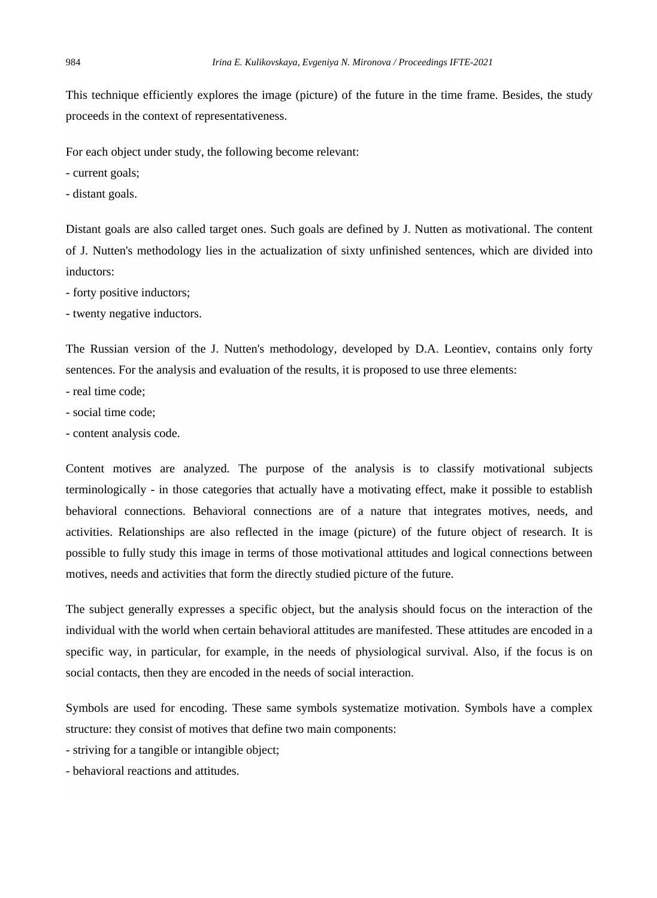This technique efficiently explores the image (picture) of the future in the time frame. Besides, the study proceeds in the context of representativeness.

For each object under study, the following become relevant:

- current goals;

- distant goals.

Distant goals are also called target ones. Such goals are defined by J. Nutten as motivational. The content of J. Nutten's methodology lies in the actualization of sixty unfinished sentences, which are divided into inductors:

- forty positive inductors;

- twenty negative inductors.

The Russian version of the J. Nutten's methodology, developed by D.A. Leontiev, contains only forty sentences. For the analysis and evaluation of the results, it is proposed to use three elements:

- real time code;
- social time code;
- content analysis code.

Content motives are analyzed. The purpose of the analysis is to classify motivational subjects terminologically - in those categories that actually have a motivating effect, make it possible to establish behavioral connections. Behavioral connections are of a nature that integrates motives, needs, and activities. Relationships are also reflected in the image (picture) of the future object of research. It is possible to fully study this image in terms of those motivational attitudes and logical connections between motives, needs and activities that form the directly studied picture of the future.

The subject generally expresses a specific object, but the analysis should focus on the interaction of the individual with the world when certain behavioral attitudes are manifested. These attitudes are encoded in a specific way, in particular, for example, in the needs of physiological survival. Also, if the focus is on social contacts, then they are encoded in the needs of social interaction.

Symbols are used for encoding. These same symbols systematize motivation. Symbols have a complex structure: they consist of motives that define two main components:

- striving for a tangible or intangible object;

- behavioral reactions and attitudes.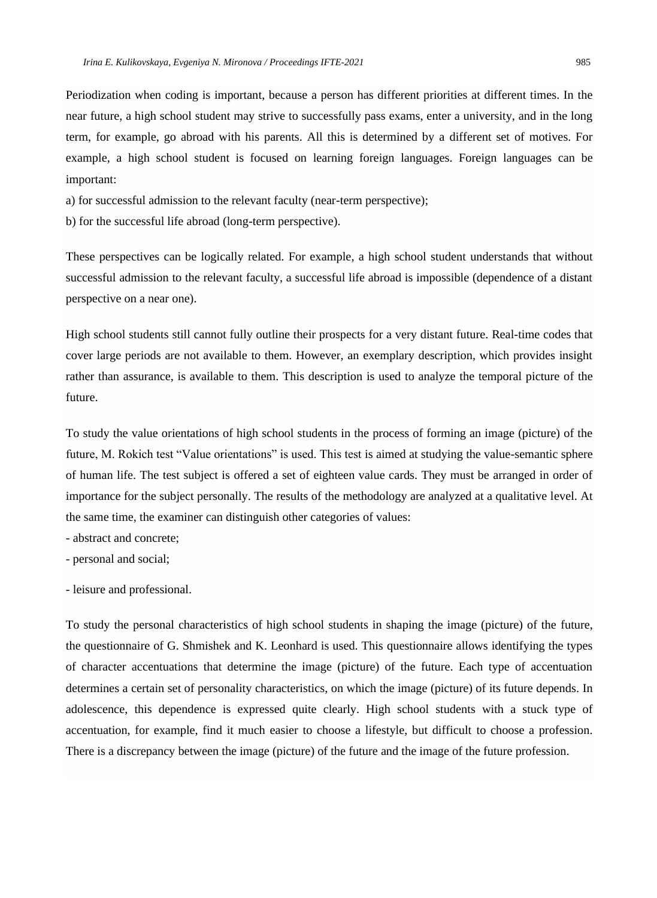Periodization when coding is important, because a person has different priorities at different times. In the near future, a high school student may strive to successfully pass exams, enter a university, and in the long term, for example, go abroad with his parents. All this is determined by a different set of motives. For example, a high school student is focused on learning foreign languages. Foreign languages can be important:

- a) for successful admission to the relevant faculty (near-term perspective);
- b) for the successful life abroad (long-term perspective).

These perspectives can be logically related. For example, a high school student understands that without successful admission to the relevant faculty, a successful life abroad is impossible (dependence of a distant perspective on a near one).

High school students still cannot fully outline their prospects for a very distant future. Real-time codes that cover large periods are not available to them. However, an exemplary description, which provides insight rather than assurance, is available to them. This description is used to analyze the temporal picture of the future.

To study the value orientations of high school students in the process of forming an image (picture) of the future, M. Rokich test "Value orientations" is used. This test is aimed at studying the value-semantic sphere of human life. The test subject is offered a set of eighteen value cards. They must be arranged in order of importance for the subject personally. The results of the methodology are analyzed at a qualitative level. At the same time, the examiner can distinguish other categories of values:

- abstract and concrete;
- personal and social;
- leisure and professional.

To study the personal characteristics of high school students in shaping the image (picture) of the future, the questionnaire of G. Shmishek and K. Leonhard is used. This questionnaire allows identifying the types of character accentuations that determine the image (picture) of the future. Each type of accentuation determines a certain set of personality characteristics, on which the image (picture) of its future depends. In adolescence, this dependence is expressed quite clearly. High school students with a stuck type of accentuation, for example, find it much easier to choose a lifestyle, but difficult to choose a profession. There is a discrepancy between the image (picture) of the future and the image of the future profession.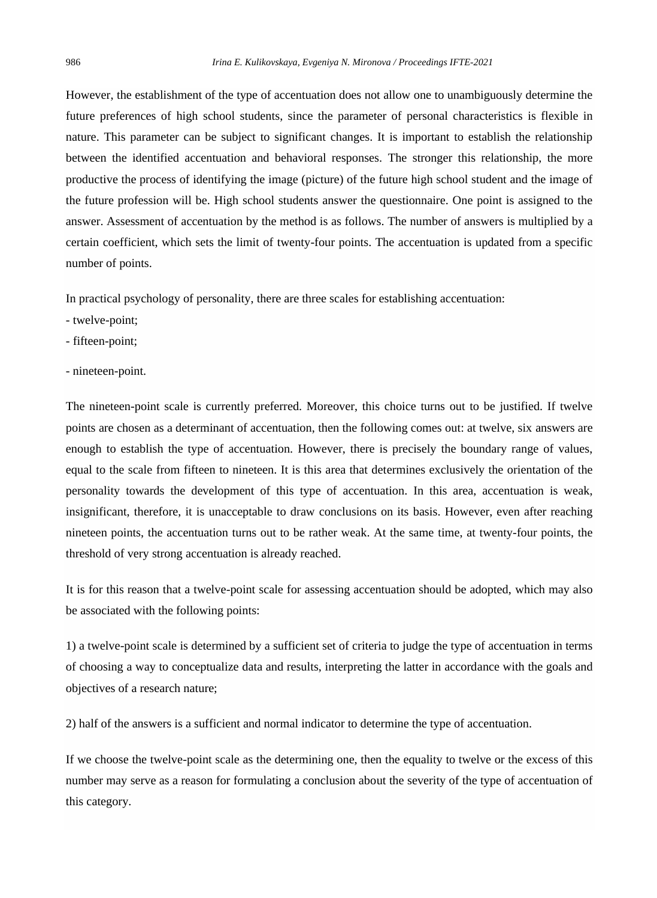However, the establishment of the type of accentuation does not allow one to unambiguously determine the future preferences of high school students, since the parameter of personal characteristics is flexible in nature. This parameter can be subject to significant changes. It is important to establish the relationship between the identified accentuation and behavioral responses. The stronger this relationship, the more productive the process of identifying the image (picture) of the future high school student and the image of the future profession will be. High school students answer the questionnaire. One point is assigned to the answer. Assessment of accentuation by the method is as follows. The number of answers is multiplied by a certain coefficient, which sets the limit of twenty-four points. The accentuation is updated from a specific number of points.

In practical psychology of personality, there are three scales for establishing accentuation:

- twelve-point;
- fifteen-point;
- nineteen-point.

The nineteen-point scale is currently preferred. Moreover, this choice turns out to be justified. If twelve points are chosen as a determinant of accentuation, then the following comes out: at twelve, six answers are enough to establish the type of accentuation. However, there is precisely the boundary range of values, equal to the scale from fifteen to nineteen. It is this area that determines exclusively the orientation of the personality towards the development of this type of accentuation. In this area, accentuation is weak, insignificant, therefore, it is unacceptable to draw conclusions on its basis. However, even after reaching nineteen points, the accentuation turns out to be rather weak. At the same time, at twenty-four points, the threshold of very strong accentuation is already reached.

It is for this reason that a twelve-point scale for assessing accentuation should be adopted, which may also be associated with the following points:

1) a twelve-point scale is determined by a sufficient set of criteria to judge the type of accentuation in terms of choosing a way to conceptualize data and results, interpreting the latter in accordance with the goals and objectives of a research nature;

2) half of the answers is a sufficient and normal indicator to determine the type of accentuation.

If we choose the twelve-point scale as the determining one, then the equality to twelve or the excess of this number may serve as a reason for formulating a conclusion about the severity of the type of accentuation of this category.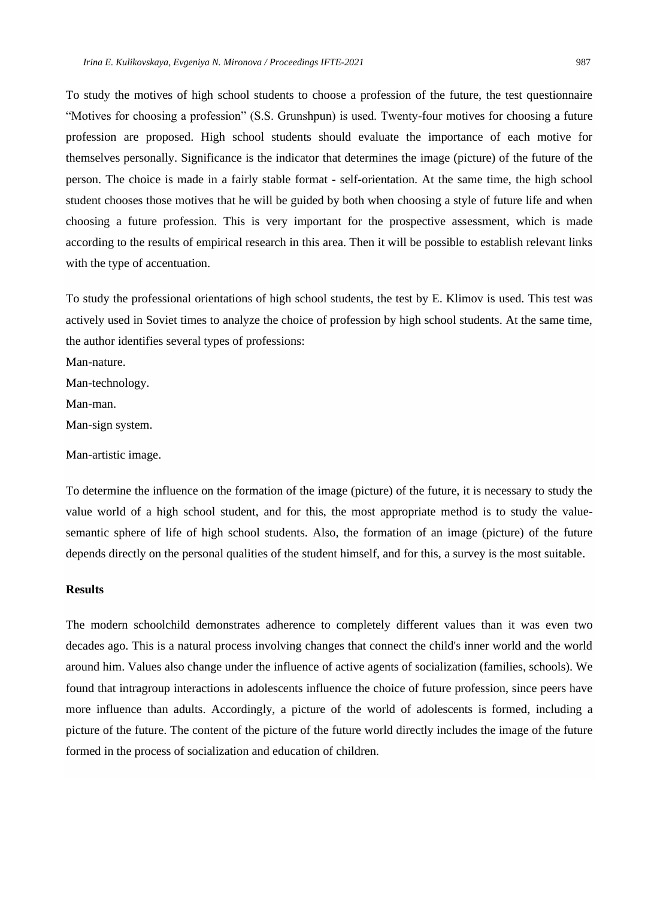To study the motives of high school students to choose a profession of the future, the test questionnaire "Motives for choosing a profession" (S.S. Grunshpun) is used. Twenty-four motives for choosing a future profession are proposed. High school students should evaluate the importance of each motive for themselves personally. Significance is the indicator that determines the image (picture) of the future of the person. The choice is made in a fairly stable format - self-orientation. At the same time, the high school student chooses those motives that he will be guided by both when choosing a style of future life and when choosing a future profession. This is very important for the prospective assessment, which is made according to the results of empirical research in this area. Then it will be possible to establish relevant links with the type of accentuation.

To study the professional orientations of high school students, the test by E. Klimov is used. This test was actively used in Soviet times to analyze the choice of profession by high school students. At the same time, the author identifies several types of professions:

Man-nature.

Man-technology.

Man-man.

Man-sign system.

Man-artistic image.

To determine the influence on the formation of the image (picture) of the future, it is necessary to study the value world of a high school student, and for this, the most appropriate method is to study the valuesemantic sphere of life of high school students. Also, the formation of an image (picture) of the future depends directly on the personal qualities of the student himself, and for this, a survey is the most suitable.

# **Results**

The modern schoolchild demonstrates adherence to completely different values than it was even two decades ago. This is a natural process involving changes that connect the child's inner world and the world around him. Values also change under the influence of active agents of socialization (families, schools). We found that intragroup interactions in adolescents influence the choice of future profession, since peers have more influence than adults. Accordingly, a picture of the world of adolescents is formed, including a picture of the future. The content of the picture of the future world directly includes the image of the future formed in the process of socialization and education of children.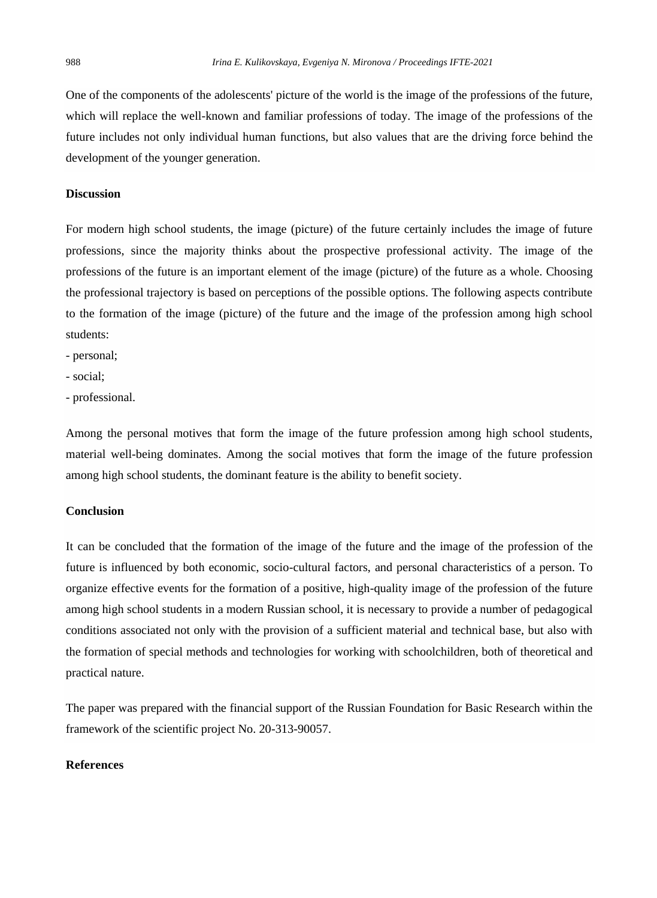One of the components of the adolescents' picture of the world is the image of the professions of the future, which will replace the well-known and familiar professions of today. The image of the professions of the future includes not only individual human functions, but also values that are the driving force behind the development of the younger generation.

#### **Discussion**

For modern high school students, the image (picture) of the future certainly includes the image of future professions, since the majority thinks about the prospective professional activity. The image of the professions of the future is an important element of the image (picture) of the future as a whole. Choosing the professional trajectory is based on perceptions of the possible options. The following aspects contribute to the formation of the image (picture) of the future and the image of the profession among high school students:

- personal;

- social;

- professional.

Among the personal motives that form the image of the future profession among high school students, material well-being dominates. Among the social motives that form the image of the future profession among high school students, the dominant feature is the ability to benefit society.

### **Conclusion**

It can be concluded that the formation of the image of the future and the image of the profession of the future is influenced by both economic, socio-cultural factors, and personal characteristics of a person. To organize effective events for the formation of a positive, high-quality image of the profession of the future among high school students in a modern Russian school, it is necessary to provide a number of pedagogical conditions associated not only with the provision of a sufficient material and technical base, but also with the formation of special methods and technologies for working with schoolchildren, both of theoretical and practical nature.

The paper was prepared with the financial support of the Russian Foundation for Basic Research within the framework of the scientific project No. 20-313-90057.

#### **References**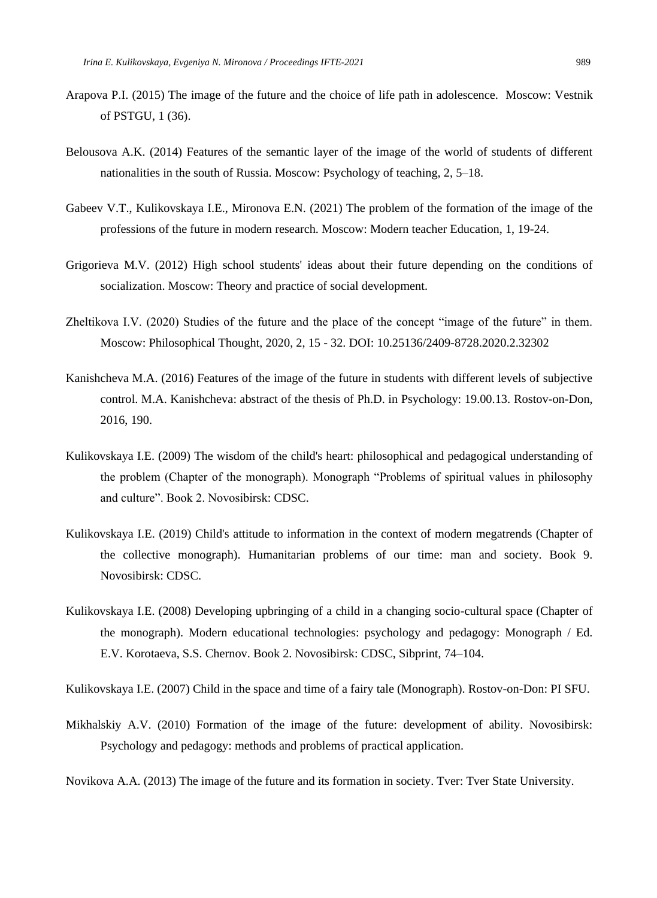- Arapova P.I. (2015) The image of the future and the choice of life path in adolescence. Moscow: Vestnik of PSTGU, 1 (36).
- Belousova A.K. (2014) Features of the semantic layer of the image of the world of students of different nationalities in the south of Russia. Moscow: Psychology of teaching, 2, 5–18.
- Gabeev V.T., Kulikovskaya I.E., Mironova E.N. (2021) The problem of the formation of the image of the professions of the future in modern research. Moscow: Modern teacher Education, 1, 19-24.
- Grigorieva M.V. (2012) High school students' ideas about their future depending on the conditions of socialization. Moscow: Theory and practice of social development.
- Zheltikova I.V. (2020) Studies of the future and the place of the concept "image of the future" in them. Moscow: Philosophical Thought, 2020, 2, 15 - 32. DOI: 10.25136/2409-8728.2020.2.32302
- Kanishcheva M.A. (2016) Features of the image of the future in students with different levels of subjective control. M.A. Kanishcheva: abstract of the thesis of Ph.D. in Psychology: 19.00.13. Rostov-on-Don, 2016, 190.
- Kulikovskaya I.E. (2009) The wisdom of the child's heart: philosophical and pedagogical understanding of the problem (Chapter of the monograph). Monograph "Problems of spiritual values in philosophy and culture". Book 2. Novosibirsk: CDSC.
- Kulikovskaya I.E. (2019) Child's attitude to information in the context of modern megatrends (Chapter of the collective monograph). Humanitarian problems of our time: man and society. Book 9. Novosibirsk: CDSC.
- Kulikovskaya I.E. (2008) Developing upbringing of a child in a changing socio-cultural space (Chapter of the monograph). Modern educational technologies: psychology and pedagogy: Monograph / Ed. E.V. Korotaeva, S.S. Chernov. Book 2. Novosibirsk: CDSC, Sibprint, 74–104.

Kulikovskaya I.E. (2007) Child in the space and time of a fairy tale (Monograph). Rostov-on-Don: PI SFU.

Mikhalskiy A.V. (2010) Formation of the image of the future: development of ability. Novosibirsk: Psychology and pedagogy: methods and problems of practical application.

Novikova A.A. (2013) The image of the future and its formation in society. Tver: Tver State University.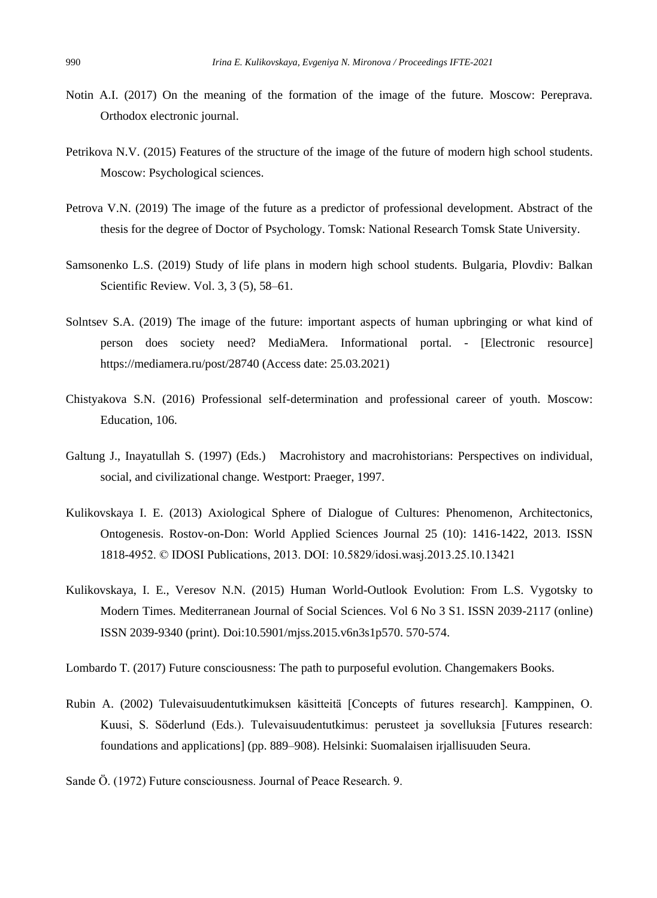- Notin A.I. (2017) On the meaning of the formation of the image of the future. Moscow: Pereprava. Orthodox electronic journal.
- Petrikova N.V. (2015) Features of the structure of the image of the future of modern high school students. Moscow: Psychological sciences.
- Petrova V.N. (2019) The image of the future as a predictor of professional development. Abstract of the thesis for the degree of Doctor of Psychology. Tomsk: National Research Tomsk State University.
- Samsonenko L.S. (2019) Study of life plans in modern high school students. Bulgaria, Plovdiv: Balkan Scientific Review. Vol. 3, 3 (5), 58–61.
- Solntsev S.A. (2019) The image of the future: important aspects of human upbringing or what kind of person does society need? MediaMera. Informational portal. - [Electronic resource] https://mediamera.ru/post/28740 (Access date: 25.03.2021)
- Chistyakova S.N. (2016) Professional self-determination and professional career of youth. Moscow: Education, 106.
- Galtung J., Inayatullah S. (1997) (Eds.) Macrohistory and macrohistorians: Perspectives on individual, social, and civilizational change. Westport: Praeger, 1997.
- Kulikovskaya I. E. (2013) Axiological Sphere of Dialogue of Cultures: Phenomenon, Architectonics, Ontogenesis. Rostov-on-Don: World Applied Sciences Journal 25 (10): 1416-1422, 2013. ISSN 1818-4952. © IDOSI Publications, 2013. DOI: 10.5829/idosi.wasj.2013.25.10.13421
- Kulikovskaya, I. E., Veresov N.N. (2015) Human World-Outlook Evolution: From L.S. Vygotsky to Modern Times. Mediterranean Journal of Social Sciences. Vol 6 No 3 S1. ISSN 2039-2117 (online) ISSN 2039-9340 (print). Doi:10.5901/mjss.2015.v6n3s1p570. 570-574.

Lombardo T. (2017) Future consciousness: The path to purposeful evolution. Changemakers Books.

- Rubin A. (2002) Tulevaisuudentutkimuksen käsitteitä [Concepts of futures research]. Kamppinen, O. Kuusi, S. Söderlund (Eds.). Tulevaisuudentutkimus: perusteet ja sovelluksia [Futures research: foundations and applications] (pp. 889–908). Helsinki: Suomalaisen irjallisuuden Seura.
- Sande Ö. (1972) Future consciousness. Journal of Peace Research. 9.